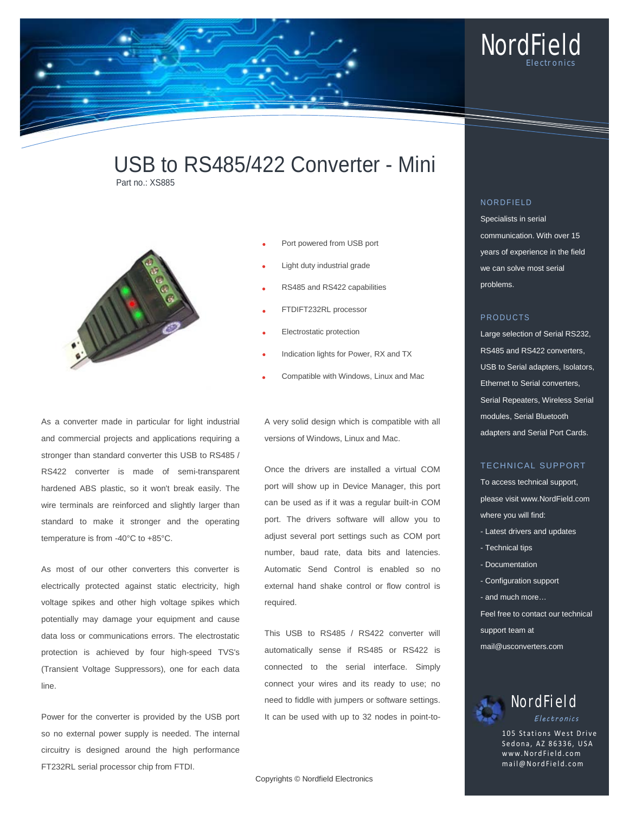

# USB to RS485/422 Converter - Mini Part no.: XS885



- Port powered from USB port
- Light duty industrial grade
- RS485 and RS422 capabilities
- FTDIFT232RL processor
- Electrostatic protection
- Indication lights for Power, RX and TX
- Compatible with Windows, Linux and Mac

A very solid design which is compatible with all versions of Windows, Linux and Mac.

Once the drivers are installed a virtual COM port will show up in Device Manager, this port can be used as if it was a regular built-in COM port. The drivers software will allow you to adjust several port settings such as COM port number, baud rate, data bits and latencies. Automatic Send Control is enabled so no external hand shake control or flow control is required.

This USB to RS485 / RS422 converter will automatically sense if RS485 or RS422 is connected to the serial interface. Simply connect your wires and its ready to use; no need to fiddle with jumpers or software settings. It can be used with up to 32 nodes in point-to-

Copyrights © Nordfield Electronics

# NORDFIELD

Specialists in serial communication. With over 15 years of experience in the field we can solve most serial problems.

### PRODUCTS

Large selection of Serial RS232, RS485 and RS422 converters, USB to Serial adapters, Isolators, Ethernet to Serial converters, Serial Repeaters, Wireless Serial modules, Serial Bluetooth adapters and Serial Port Cards.

## TECHNICAL SUPPORT

To access technical support, please visit www.NordField.com where you will find:

- Latest drivers and updates
- Technical tips
- Documentation
- Configuration support
- and much more…
- Feel free to contact our technical
- support team at
- mail@usconverters.com



105 Stations West Drive Sedona, AZ 86336, USA www.NordField .com mail@NordField.com

As a converter made in particular for light industrial and commercial projects and applications requiring a stronger than standard converter this USB to RS485 / RS422 converter is made of semi-transparent hardened ABS plastic, so it won't break easily. The wire terminals are reinforced and slightly larger than standard to make it stronger and the operating temperature is from -40°C to +85°C.

As most of our other converters this converter is electrically protected against static electricity, high voltage spikes and other high voltage spikes which potentially may damage your equipment and cause data loss or communications errors. The electrostatic protection is achieved by four high-speed TVS's (Transient Voltage Suppressors), one for each data line.

Power for the converter is provided by the USB port so no external power supply is needed. The internal circuitry is designed around the high performance FT232RL serial processor chip from FTDI.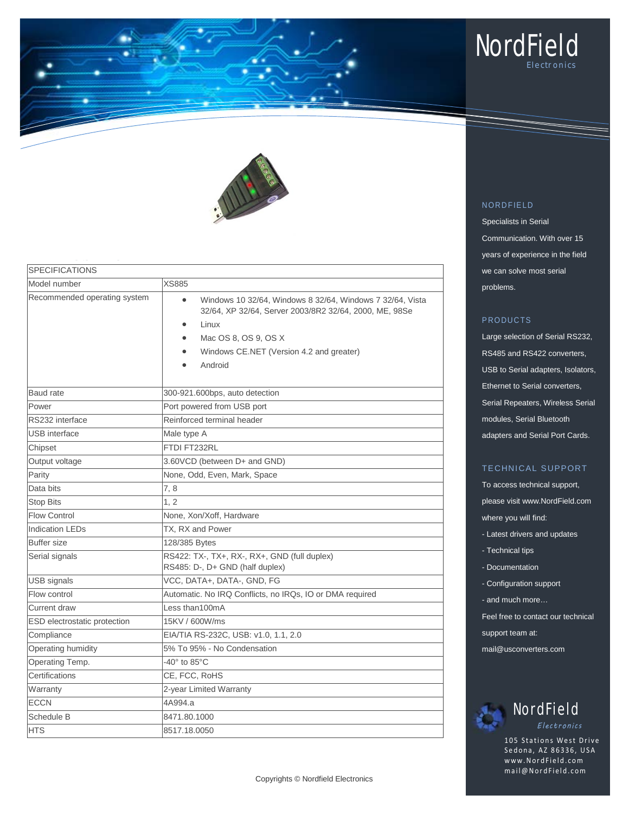



| <b>SPECIFICATIONS</b>        |                                                                                                                                                                                                                          |  |
|------------------------------|--------------------------------------------------------------------------------------------------------------------------------------------------------------------------------------------------------------------------|--|
| Model number                 | <b>XS885</b>                                                                                                                                                                                                             |  |
| Recommended operating system | Windows 10 32/64, Windows 8 32/64, Windows 7 32/64, Vista<br>$\bullet$<br>32/64, XP 32/64, Server 2003/8R2 32/64, 2000, ME, 98Se<br>Linux<br>Mac OS 8, OS 9, OS X<br>Windows CE.NET (Version 4.2 and greater)<br>Android |  |
| Baud rate                    | 300-921.600bps, auto detection                                                                                                                                                                                           |  |
| Power                        | Port powered from USB port                                                                                                                                                                                               |  |
| RS232 interface              | Reinforced terminal header                                                                                                                                                                                               |  |
| <b>USB</b> interface         | Male type A                                                                                                                                                                                                              |  |
| Chipset                      | FTDI FT232RL                                                                                                                                                                                                             |  |
| Output voltage               | 3.60VCD (between D+ and GND)                                                                                                                                                                                             |  |
| Parity                       | None, Odd, Even, Mark, Space                                                                                                                                                                                             |  |
| Data bits                    | 7,8                                                                                                                                                                                                                      |  |
| <b>Stop Bits</b>             | 1, 2                                                                                                                                                                                                                     |  |
| <b>Flow Control</b>          | None, Xon/Xoff, Hardware                                                                                                                                                                                                 |  |
| <b>Indication LEDs</b>       | TX, RX and Power                                                                                                                                                                                                         |  |
| <b>Buffer size</b>           | 128/385 Bytes                                                                                                                                                                                                            |  |
| Serial signals               | RS422: TX-, TX+, RX-, RX+, GND (full duplex)<br>RS485: D-, D+ GND (half duplex)                                                                                                                                          |  |
| USB signals                  | VCC, DATA+, DATA-, GND, FG                                                                                                                                                                                               |  |
| Flow control                 | Automatic. No IRQ Conflicts, no IRQs, IO or DMA required                                                                                                                                                                 |  |
| Current draw                 | Less than100mA                                                                                                                                                                                                           |  |
| ESD electrostatic protection | 15KV / 600W/ms                                                                                                                                                                                                           |  |
| Compliance                   | EIA/TIA RS-232C, USB: v1.0, 1.1, 2.0                                                                                                                                                                                     |  |
| Operating humidity           | 5% To 95% - No Condensation                                                                                                                                                                                              |  |
| Operating Temp.              | $-40^\circ$ to 85 $^\circ$ C                                                                                                                                                                                             |  |
| Certifications               | CE, FCC, RoHS                                                                                                                                                                                                            |  |
| Warranty                     | 2-year Limited Warranty                                                                                                                                                                                                  |  |
| <b>ECCN</b>                  | 4A994.a                                                                                                                                                                                                                  |  |
| Schedule B                   | 8471.80.1000                                                                                                                                                                                                             |  |
| <b>HTS</b>                   | 8517.18.0050                                                                                                                                                                                                             |  |

# NORDFIELD

Specialists in Serial Communication. With over 15 years of experience in the field we can solve most serial problems.

## PRODUCTS

Large selection of Serial RS232, RS485 and RS422 converters, USB to Serial adapters, Isolators, Ethernet to Serial converters, Serial Repeaters, Wireless Serial modules, Serial Bluetooth adapters and Serial Port Cards.

# TECHNICAL SUPPORT

To access technical support, please visit www.NordField.com where you will find:

- Latest drivers and updates
- Technical tips
- Documentation
- Configuration support
- and much more…

Feel free to contact our technical

support team at:

mail@usconverters.com

# NordField *Electronics*

105 Stations West Drive Sedona, AZ 86336, USA www.NordField .com mail@NordField.com